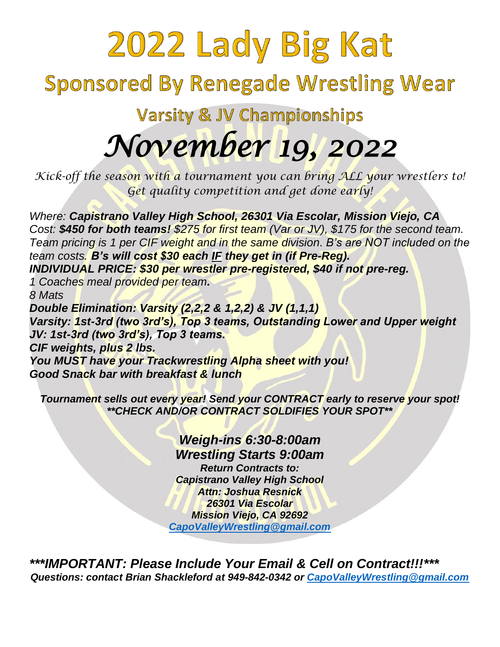## 2022 Lady Big Kat **Sponsored By Renegade Wrestling Wear Varsity & JV Championships** *November 19, 2022*

*Kick-off the season with a tournament you can bring ALL your wrestlers to! Get quality competition and get done early!*

*Where: Capistrano Valley High School, 26301 Via Escolar, Mission Viejo, CA Cost: \$450 for both teams! \$275 for first team (Var or JV), \$175 for the second team. Team pricing is 1 per CIF weight and in the same division. B's are NOT included on the team costs. B's will cost \$30 each IF they get in (if Pre-Reg). INDIVIDUAL PRICE: \$30 per wrestler pre-registered, \$40 if not pre-reg. 1 Coaches meal provided per team. 8 Mats Double Elimination: Varsity (2,2,2 & 1,2,2) & JV (1,1,1) Varsity: 1st-3rd (two 3rd's), Top 3 teams, Outstanding Lower and Upper weight JV: 1st-3rd (two 3rd's), Top 3 teams. CIF weights, plus 2 lbs.* 

*You MUST have your Trackwrestling Alpha sheet with you! Good Snack bar with breakfast & lunch* 

*Tournament sells out every year! Send your CONTRACT early to reserve your spot! \*\*CHECK AND/OR CONTRACT SOLDIFIES YOUR SPOT\*\**

> *Weigh-ins 6:30-8:00am Wrestling Starts 9:00am Return Contracts to: Capistrano Valley High School Attn: Joshua Resnick 26301 Via Escolar Mission Viejo, CA 92692 CapoValleyWrestling@gmail.com*

*\*\*\*IMPORTANT: Please Include Your Email & Cell on Contract!!!\*\*\* Questions: contact Brian Shackleford at 949-842-0342 or CapoValleyWrestling@gmail.com*